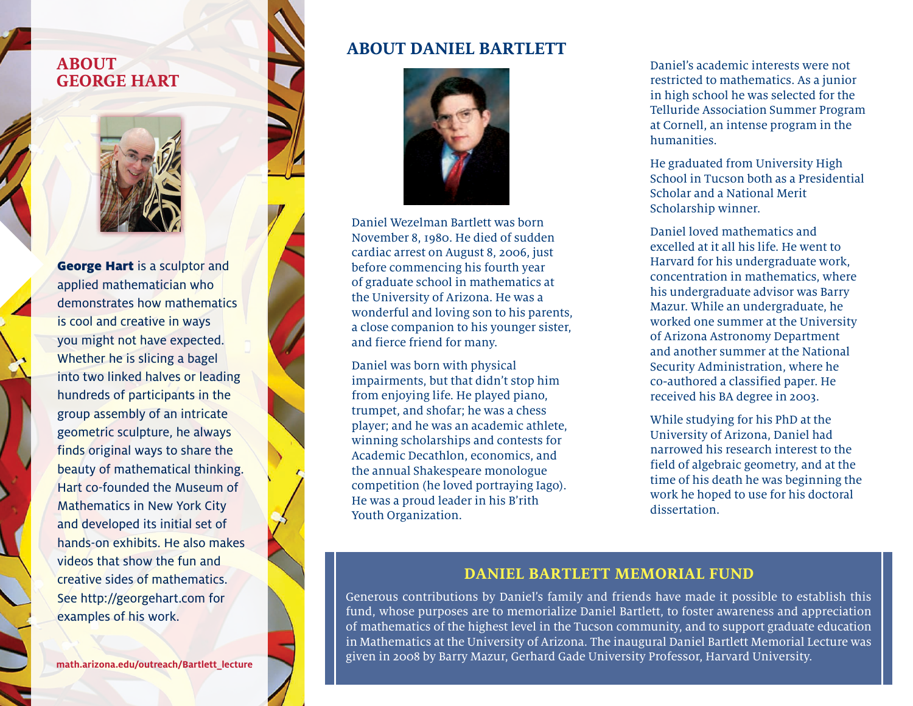### **ABOUT GEORGE HART**



George Hart is a sculptor and applied mathematician who demonstrates how mathematics is cool and creative in ways you might not have expected. Whether he is slicing a bagel into two linked halves or leading hundreds of participants in the group assembly of an intricate geometric sculpture, he always finds original ways to share the beauty of mathematical thinking. Hart co-founded the Museum of Mathematics in New York City and developed its initial set of hands-on exhibits. He also makes videos that show the fun and creative sides of mathematics. See http://georgehart.com for examples of his work.

**math.arizona.edu/outreach/Bartlett\_lecture**

### **ABOUT DANIEL BARTLETT**



Daniel Wezelman Bartlett was born November 8, 1980. He died of sudden cardiac arrest on August 8, 2006, just before commencing his fourth year of graduate school in mathematics at the University of Arizona. He was a wonderful and loving son to his parents, a close companion to his younger sister, and fierce friend for many.

Daniel was born with physical impairments, but that didn't stop him from enjoying life. He played piano, trumpet, and shofar; he was a chess player; and he was an academic athlete, winning scholarships and contests for Academic Decathlon, economics, and the annual Shakespeare monologue competition (he loved portraying Iago). He was a proud leader in his B'rith Youth Organization.

Daniel's academic interests were not restricted to mathematics. As a junior in high school he was selected for the Telluride Association Summer Program at Cornell, an intense program in the humanities.

He graduated from University High School in Tucson both as a Presidential Scholar and a National Merit Scholarship winner.

Daniel loved mathematics and excelled at it all his life. He went to Harvard for his undergraduate work, concentration in mathematics, where his undergraduate advisor was Barry Mazur. While an undergraduate, he worked one summer at the University of Arizona Astronomy Department and another summer at the National Security Administration, where he co-authored a classified paper. He received his BA degree in 2003.

While studying for his PhD at the University of Arizona, Daniel had narrowed his research interest to the field of algebraic geometry, and at the time of his death he was beginning the work he hoped to use for his doctoral dissertation.

### **DANIEL BARTLETT MEMORIAL FUND**

Generous contributions by Daniel's family and friends have made it possible to establish this fund, whose purposes are to memorialize Daniel Bartlett, to foster awareness and appreciation of mathematics of the highest level in the Tucson community, and to support graduate education in Mathematics at the University of Arizona. The inaugural Daniel Bartlett Memorial Lecture was given in 2008 by Barry Mazur, Gerhard Gade University Professor, Harvard University.